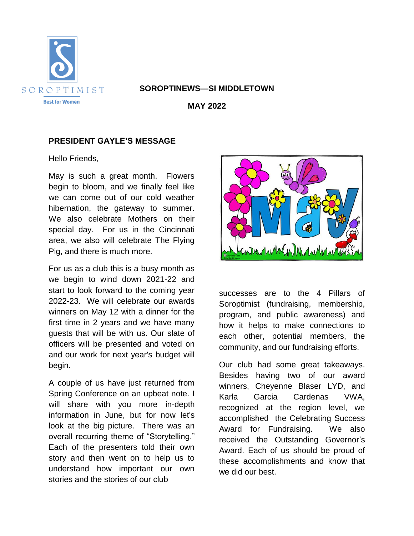

#### **SOROPTINEWS—SI MIDDLETOWN**

**MAY 2022**

# **PRESIDENT GAYLE'S MESSAGE**

Hello Friends,

May is such a great month. Flowers begin to bloom, and we finally feel like we can come out of our cold weather hibernation, the gateway to summer. We also celebrate Mothers on their special day. For us in the Cincinnati area, we also will celebrate The Flying Pig, and there is much more.

For us as a club this is a busy month as we begin to wind down 2021-22 and start to look forward to the coming year 2022-23. We will celebrate our awards winners on May 12 with a dinner for the first time in 2 years and we have many guests that will be with us. Our slate of officers will be presented and voted on and our work for next year's budget will begin.

A couple of us have just returned from Spring Conference on an upbeat note. I will share with you more in-depth information in June, but for now let's look at the big picture. There was an overall recurring theme of "Storytelling." Each of the presenters told their own story and then went on to help us to understand how important our own stories and the stories of our club



successes are to the 4 Pillars of Soroptimist (fundraising, membership, program, and public awareness) and how it helps to make connections to each other, potential members, the community, and our fundraising efforts.

Our club had some great takeaways. Besides having two of our award winners, Cheyenne Blaser LYD, and Karla Garcia Cardenas VWA, recognized at the region level, we accomplished the Celebrating Success Award for Fundraising. We also received the Outstanding Governor's Award. Each of us should be proud of these accomplishments and know that we did our best.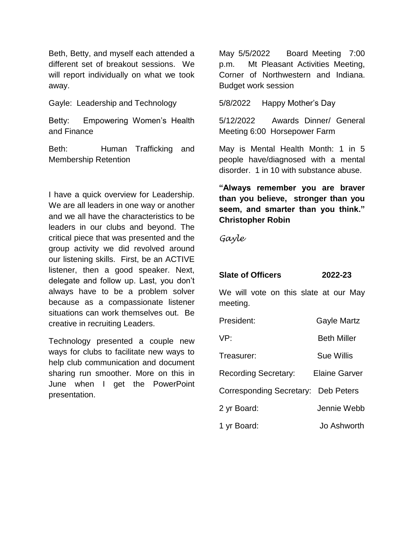Beth, Betty, and myself each attended a different set of breakout sessions. We will report individually on what we took away.

Gayle: Leadership and Technology

Betty: Empowering Women's Health and Finance

Beth: Human Trafficking and Membership Retention

I have a quick overview for Leadership. We are all leaders in one way or another and we all have the characteristics to be leaders in our clubs and beyond. The critical piece that was presented and the group activity we did revolved around our listening skills. First, be an ACTIVE listener, then a good speaker. Next, delegate and follow up. Last, you don't always have to be a problem solver because as a compassionate listener situations can work themselves out. Be creative in recruiting Leaders.

Technology presented a couple new ways for clubs to facilitate new ways to help club communication and document sharing run smoother. More on this in June when I get the PowerPoint presentation.

May 5/5/2022 Board Meeting 7:00 p.m. Mt Pleasant Activities Meeting, Corner of Northwestern and Indiana. Budget work session

5/8/2022 Happy Mother's Day

5/12/2022 Awards Dinner/ General Meeting 6:00 Horsepower Farm

May is Mental Health Month: 1 in 5 people have/diagnosed with a mental disorder. 1 in 10 with substance abuse.

**"Always remember you are braver than you believe, stronger than you seem, and smarter than you think." Christopher Robin**

*Gayle*

# **Slate of Officers 2022-23**

We will vote on this slate at our May meeting.

President: Gayle Martz

VP: Beth Miller

Treasurer: Sue Willis

Recording Secretary: Elaine Garver

Corresponding Secretary: Deb Peters

- 2 yr Board: Jennie Webb
- 1 yr Board: Jo Ashworth